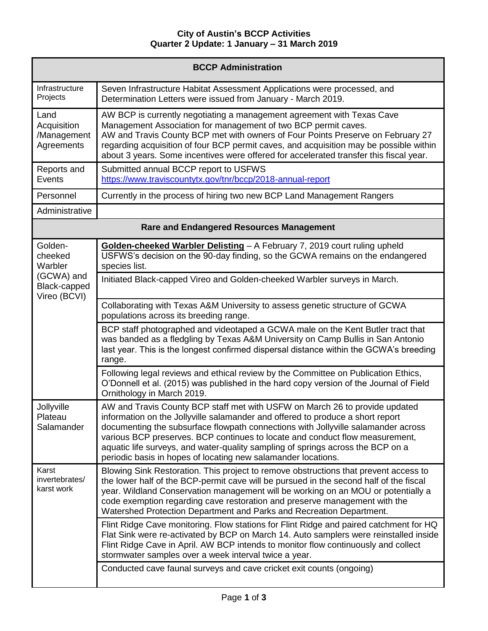## **City of Austin's BCCP Activities Quarter 2 Update: 1 January – 31 March 2019**

| <b>BCCP Administration</b>                                                  |                                                                                                                                                                                                                                                                                                                                                                                                                                                                                        |  |
|-----------------------------------------------------------------------------|----------------------------------------------------------------------------------------------------------------------------------------------------------------------------------------------------------------------------------------------------------------------------------------------------------------------------------------------------------------------------------------------------------------------------------------------------------------------------------------|--|
| Infrastructure<br>Projects                                                  | Seven Infrastructure Habitat Assessment Applications were processed, and<br>Determination Letters were issued from January - March 2019.                                                                                                                                                                                                                                                                                                                                               |  |
| Land<br>Acquisition<br>/Management<br>Agreements                            | AW BCP is currently negotiating a management agreement with Texas Cave<br>Management Association for management of two BCP permit caves.<br>AW and Travis County BCP met with owners of Four Points Preserve on February 27<br>regarding acquisition of four BCP permit caves, and acquisition may be possible within<br>about 3 years. Some incentives were offered for accelerated transfer this fiscal year.                                                                        |  |
| Reports and<br>Events                                                       | Submitted annual BCCP report to USFWS<br>https://www.traviscountytx.gov/tnr/bccp/2018-annual-report                                                                                                                                                                                                                                                                                                                                                                                    |  |
| Personnel                                                                   | Currently in the process of hiring two new BCP Land Management Rangers                                                                                                                                                                                                                                                                                                                                                                                                                 |  |
| Administrative                                                              |                                                                                                                                                                                                                                                                                                                                                                                                                                                                                        |  |
| <b>Rare and Endangered Resources Management</b>                             |                                                                                                                                                                                                                                                                                                                                                                                                                                                                                        |  |
| Golden-<br>cheeked<br>Warbler<br>(GCWA) and<br>Black-capped<br>Vireo (BCVI) | Golden-cheeked Warbler Delisting - A February 7, 2019 court ruling upheld<br>USFWS's decision on the 90-day finding, so the GCWA remains on the endangered<br>species list.                                                                                                                                                                                                                                                                                                            |  |
|                                                                             | Initiated Black-capped Vireo and Golden-cheeked Warbler surveys in March.                                                                                                                                                                                                                                                                                                                                                                                                              |  |
|                                                                             | Collaborating with Texas A&M University to assess genetic structure of GCWA<br>populations across its breeding range.                                                                                                                                                                                                                                                                                                                                                                  |  |
|                                                                             | BCP staff photographed and videotaped a GCWA male on the Kent Butler tract that<br>was banded as a fledgling by Texas A&M University on Camp Bullis in San Antonio<br>last year. This is the longest confirmed dispersal distance within the GCWA's breeding<br>range.                                                                                                                                                                                                                 |  |
|                                                                             | Following legal reviews and ethical review by the Committee on Publication Ethics,<br>O'Donnell et al. (2015) was published in the hard copy version of the Journal of Field<br>Ornithology in March 2019.                                                                                                                                                                                                                                                                             |  |
| Jollyville<br>Plateau<br>Salamander                                         | AW and Travis County BCP staff met with USFW on March 26 to provide updated<br>information on the Jollyville salamander and offered to produce a short report<br>documenting the subsurface flowpath connections with Jollyville salamander across<br>various BCP preserves. BCP continues to locate and conduct flow measurement,<br>aquatic life surveys, and water-quality sampling of springs across the BCP on a<br>periodic basis in hopes of locating new salamander locations. |  |
| Karst<br>invertebrates/<br>karst work                                       | Blowing Sink Restoration. This project to remove obstructions that prevent access to<br>the lower half of the BCP-permit cave will be pursued in the second half of the fiscal<br>year. Wildland Conservation management will be working on an MOU or potentially a<br>code exemption regarding cave restoration and preserve management with the<br>Watershed Protection Department and Parks and Recreation Department.                                                              |  |
|                                                                             | Flint Ridge Cave monitoring. Flow stations for Flint Ridge and paired catchment for HQ<br>Flat Sink were re-activated by BCP on March 14. Auto samplers were reinstalled inside<br>Flint Ridge Cave in April. AW BCP intends to monitor flow continuously and collect<br>stormwater samples over a week interval twice a year.                                                                                                                                                         |  |
|                                                                             | Conducted cave faunal surveys and cave cricket exit counts (ongoing)                                                                                                                                                                                                                                                                                                                                                                                                                   |  |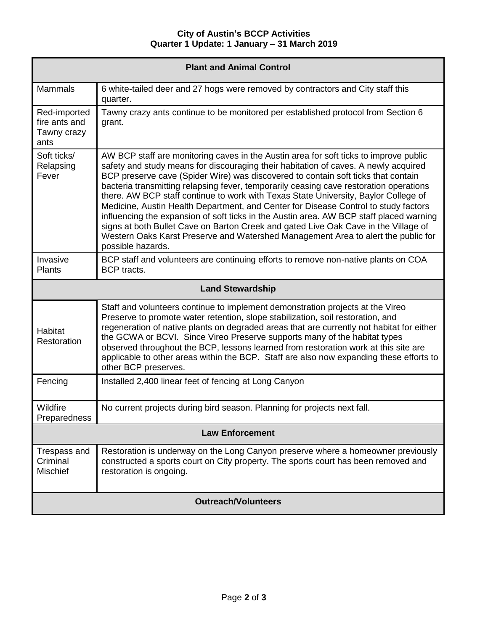| <b>Plant and Animal Control</b>                      |                                                                                                                                                                                                                                                                                                                                                                                                                                                                                                                                                                                                                                                                                                                                                                                                                                       |  |
|------------------------------------------------------|---------------------------------------------------------------------------------------------------------------------------------------------------------------------------------------------------------------------------------------------------------------------------------------------------------------------------------------------------------------------------------------------------------------------------------------------------------------------------------------------------------------------------------------------------------------------------------------------------------------------------------------------------------------------------------------------------------------------------------------------------------------------------------------------------------------------------------------|--|
| <b>Mammals</b>                                       | 6 white-tailed deer and 27 hogs were removed by contractors and City staff this<br>quarter.                                                                                                                                                                                                                                                                                                                                                                                                                                                                                                                                                                                                                                                                                                                                           |  |
| Red-imported<br>fire ants and<br>Tawny crazy<br>ants | Tawny crazy ants continue to be monitored per established protocol from Section 6<br>grant.                                                                                                                                                                                                                                                                                                                                                                                                                                                                                                                                                                                                                                                                                                                                           |  |
| Soft ticks/<br>Relapsing<br>Fever                    | AW BCP staff are monitoring caves in the Austin area for soft ticks to improve public<br>safety and study means for discouraging their habitation of caves. A newly acquired<br>BCP preserve cave (Spider Wire) was discovered to contain soft ticks that contain<br>bacteria transmitting relapsing fever, temporarily ceasing cave restoration operations<br>there. AW BCP staff continue to work with Texas State University, Baylor College of<br>Medicine, Austin Health Department, and Center for Disease Control to study factors<br>influencing the expansion of soft ticks in the Austin area. AW BCP staff placed warning<br>signs at both Bullet Cave on Barton Creek and gated Live Oak Cave in the Village of<br>Western Oaks Karst Preserve and Watershed Management Area to alert the public for<br>possible hazards. |  |
| Invasive<br><b>Plants</b>                            | BCP staff and volunteers are continuing efforts to remove non-native plants on COA<br><b>BCP</b> tracts.                                                                                                                                                                                                                                                                                                                                                                                                                                                                                                                                                                                                                                                                                                                              |  |
| <b>Land Stewardship</b>                              |                                                                                                                                                                                                                                                                                                                                                                                                                                                                                                                                                                                                                                                                                                                                                                                                                                       |  |
| <b>Habitat</b><br>Restoration                        | Staff and volunteers continue to implement demonstration projects at the Vireo<br>Preserve to promote water retention, slope stabilization, soil restoration, and<br>regeneration of native plants on degraded areas that are currently not habitat for either<br>the GCWA or BCVI. Since Vireo Preserve supports many of the habitat types<br>observed throughout the BCP, lessons learned from restoration work at this site are<br>applicable to other areas within the BCP. Staff are also now expanding these efforts to<br>other BCP preserves.                                                                                                                                                                                                                                                                                 |  |
| Fencing                                              | Installed 2,400 linear feet of fencing at Long Canyon                                                                                                                                                                                                                                                                                                                                                                                                                                                                                                                                                                                                                                                                                                                                                                                 |  |
| Wildfire<br>Preparedness                             | No current projects during bird season. Planning for projects next fall.                                                                                                                                                                                                                                                                                                                                                                                                                                                                                                                                                                                                                                                                                                                                                              |  |
| <b>Law Enforcement</b>                               |                                                                                                                                                                                                                                                                                                                                                                                                                                                                                                                                                                                                                                                                                                                                                                                                                                       |  |
| Trespass and<br>Criminal<br><b>Mischief</b>          | Restoration is underway on the Long Canyon preserve where a homeowner previously<br>constructed a sports court on City property. The sports court has been removed and<br>restoration is ongoing.                                                                                                                                                                                                                                                                                                                                                                                                                                                                                                                                                                                                                                     |  |
| <b>Outreach/Volunteers</b>                           |                                                                                                                                                                                                                                                                                                                                                                                                                                                                                                                                                                                                                                                                                                                                                                                                                                       |  |